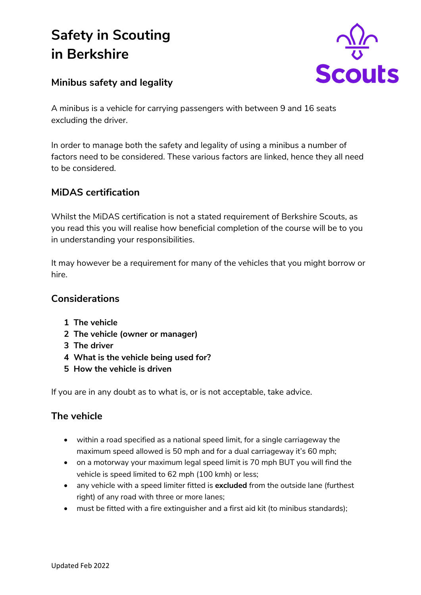# **Safety in Scouting in Berkshire**



## **Minibus safety and legality**

A minibus is a vehicle for carrying passengers with between 9 and 16 seats excluding the driver.

In order to manage both the safety and legality of using a minibus a number of factors need to be considered. These various factors are linked, hence they all need to be considered.

## **MiDAS certification**

Whilst the MiDAS certification is not a stated requirement of Berkshire Scouts, as you read this you will realise how beneficial completion of the course will be to you in understanding your responsibilities.

It may however be a requirement for many of the vehicles that you might borrow or hire.

## **Considerations**

- **1 The vehicle**
- **2 The vehicle (owner or manager)**
- **3 The driver**
- **4 What is the vehicle being used for?**
- **5 How the vehicle is driven**

If you are in any doubt as to what is, or is not acceptable, take advice.

## **The vehicle**

- within a road specified as a national speed limit, for a single carriageway the maximum speed allowed is 50 mph and for a dual carriageway it's 60 mph;
- on a motorway your maximum legal speed limit is 70 mph BUT you will find the vehicle is speed limited to 62 mph (100 kmh) or less;
- any vehicle with a speed limiter fitted is **excluded** from the outside lane (furthest right) of any road with three or more lanes;
- must be fitted with a fire extinguisher and a first aid kit (to minibus standards);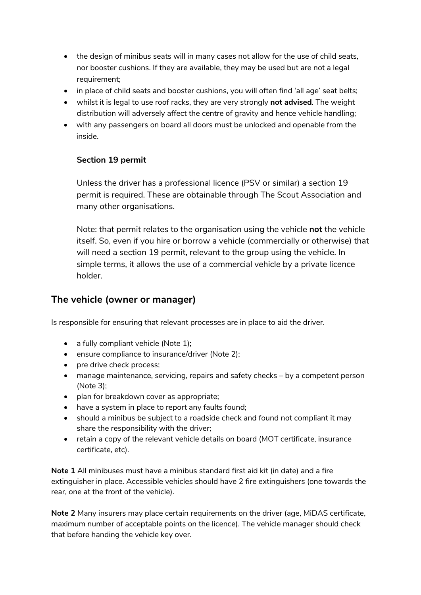- the design of minibus seats will in many cases not allow for the use of child seats, nor booster cushions. If they are available, they may be used but are not a legal requirement;
- in place of child seats and booster cushions, you will often find 'all age' seat belts;
- whilst it is legal to use roof racks, they are very strongly **not advised**. The weight distribution will adversely affect the centre of gravity and hence vehicle handling;
- with any passengers on board all doors must be unlocked and openable from the inside.

#### **Section 19 permit**

Unless the driver has a professional licence (PSV or similar) a section 19 permit is required. These are obtainable through The Scout Association and many other organisations.

Note: that permit relates to the organisation using the vehicle **not** the vehicle itself. So, even if you hire or borrow a vehicle (commercially or otherwise) that will need a section 19 permit, relevant to the group using the vehicle. In simple terms, it allows the use of a commercial vehicle by a private licence holder.

## **The vehicle (owner or manager)**

Is responsible for ensuring that relevant processes are in place to aid the driver.

- a fully compliant vehicle (Note 1);
- ensure compliance to insurance/driver (Note 2);
- pre drive check process;
- manage maintenance, servicing, repairs and safety checks by a competent person (Note 3);
- plan for breakdown cover as appropriate;
- have a system in place to report any faults found;
- should a minibus be subject to a roadside check and found not compliant it may share the responsibility with the driver;
- retain a copy of the relevant vehicle details on board (MOT certificate, insurance certificate, etc).

**Note 1** All minibuses must have a minibus standard first aid kit (in date) and a fire extinguisher in place. Accessible vehicles should have 2 fire extinguishers (one towards the rear, one at the front of the vehicle).

**Note 2** Many insurers may place certain requirements on the driver (age, MiDAS certificate, maximum number of acceptable points on the licence). The vehicle manager should check that before handing the vehicle key over.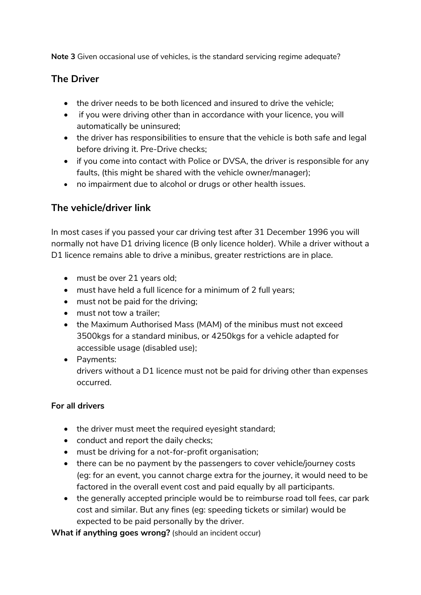**Note 3** Given occasional use of vehicles, is the standard servicing regime adequate?

#### **The Driver**

- the driver needs to be both licenced and insured to drive the vehicle:
- if you were driving other than in accordance with your licence, you will automatically be uninsured;
- the driver has responsibilities to ensure that the vehicle is both safe and legal before driving it. Pre-Drive checks;
- if you come into contact with Police or DVSA, the driver is responsible for any faults, (this might be shared with the vehicle owner/manager);
- no impairment due to alcohol or drugs or other health issues.

## **The vehicle/driver link**

In most cases if you passed your car driving test after 31 December 1996 you will normally not have D1 driving licence (B only licence holder). While a driver without a D1 licence remains able to drive a minibus, greater restrictions are in place.

- must be over 21 years old;
- must have held a full licence for a minimum of 2 full years;
- must not be paid for the driving;
- must not tow a trailer;
- the Maximum Authorised Mass (MAM) of the minibus must not exceed 3500kgs for a standard minibus, or 4250kgs for a vehicle adapted for accessible usage (disabled use);
- Payments:

drivers without a D1 licence must not be paid for driving other than expenses occurred.

#### **For all drivers**

- the driver must meet the required eyesight standard;
- conduct and report the daily checks;
- must be driving for a not-for-profit organisation;
- there can be no payment by the passengers to cover vehicle/journey costs (eg: for an event, you cannot charge extra for the journey, it would need to be factored in the overall event cost and paid equally by all participants.
- the generally accepted principle would be to reimburse road toll fees, car park cost and similar. But any fines (eg: speeding tickets or similar) would be expected to be paid personally by the driver.

**What if anything goes wrong?** (should an incident occur)